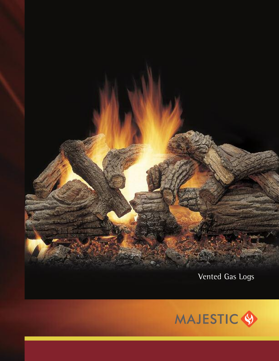

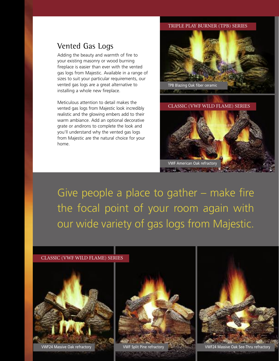## TRIPLE PLAY BURNER (TPB) SERIES

## Vented Gas Logs

Adding the beauty and warmth of fire to your existing masonry or wood burning fireplace is easier than ever with the vented gas logs from Majestic. Available in a range of sizes to suit your particular requirements, our vented gas logs are a great alternative to installing a whole new fireplace.

Meticulous attention to detail makes the vented gas logs from Majestic look incredibly realistic and the glowing embers add to their warm ambiance. Add an optional decorative grate or andirons to complete the look and you'll understand why the vented gas logs from Majestic are the natural choice for your home.



CLASSIC (VWF WILD FLAME) SERIES



Give people a place to gather – make fire the focal point of your room again with our wide variety of gas logs from Majestic.

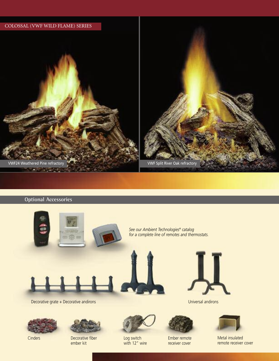

## **Optional Accessories**







Cinders Decorative fiber ember kit



Log switch with 12" wire



Ember remote receiver cover



Metal insulated remote receiver cover